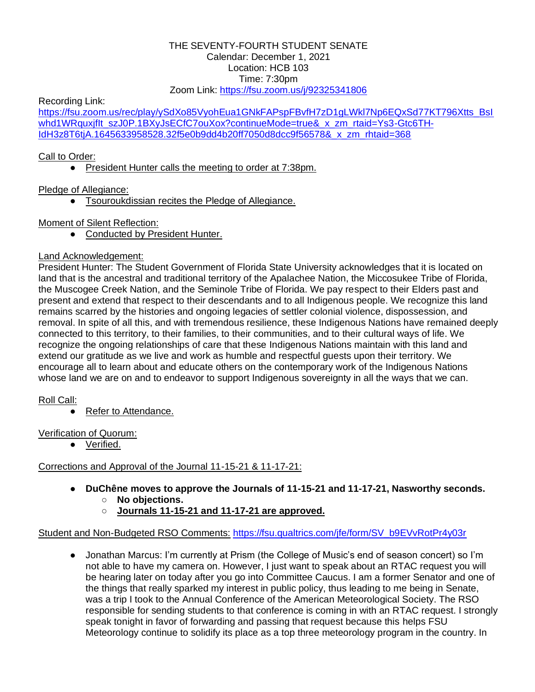#### THE SEVENTY-FOURTH STUDENT SENATE Calendar: December 1, 2021 Location: HCB 103 Time: 7:30pm Zoom Link:<https://fsu.zoom.us/j/92325341806>

Recording Link:

[https://fsu.zoom.us/rec/play/ySdXo85VyohEua1GNkFAPspFBvfH7zD1gLWkl7Np6EQxSd77KT796Xtts\\_BsI](https://fsu.zoom.us/rec/play/ySdXo85VyohEua1GNkFAPspFBvfH7zD1gLWkl7Np6EQxSd77KT796Xtts_BsIwhd1WRquxjfIt_szJ0P.1BXyJsECfC7ouXox?continueMode=true&_x_zm_rtaid=Ys3-Gtc6TH-IdH3z8T6tjA.1645633958528.32f5e0b9dd4b20ff7050d8dcc9f56578&_x_zm_rhtaid=368) whd1WRquxjflt\_szJ0P.1BXyJsECfC7ouXox?continueMode=true&\_x\_zm\_rtaid=Ys3-Gtc6TH-[IdH3z8T6tjA.1645633958528.32f5e0b9dd4b20ff7050d8dcc9f56578&\\_x\\_zm\\_rhtaid=368](https://fsu.zoom.us/rec/play/ySdXo85VyohEua1GNkFAPspFBvfH7zD1gLWkl7Np6EQxSd77KT796Xtts_BsIwhd1WRquxjfIt_szJ0P.1BXyJsECfC7ouXox?continueMode=true&_x_zm_rtaid=Ys3-Gtc6TH-IdH3z8T6tjA.1645633958528.32f5e0b9dd4b20ff7050d8dcc9f56578&_x_zm_rhtaid=368)

# Call to Order:

● President Hunter calls the meeting to order at 7:38pm.

Pledge of Allegiance:

● Tsouroukdissian recites the Pledge of Allegiance.

## Moment of Silent Reflection:

● Conducted by President Hunter.

# Land Acknowledgement:

President Hunter: The Student Government of Florida State University acknowledges that it is located on land that is the ancestral and traditional territory of the Apalachee Nation, the Miccosukee Tribe of Florida, the Muscogee Creek Nation, and the Seminole Tribe of Florida. We pay respect to their Elders past and present and extend that respect to their descendants and to all Indigenous people. We recognize this land remains scarred by the histories and ongoing legacies of settler colonial violence, dispossession, and removal. In spite of all this, and with tremendous resilience, these Indigenous Nations have remained deeply connected to this territory, to their families, to their communities, and to their cultural ways of life. We recognize the ongoing relationships of care that these Indigenous Nations maintain with this land and extend our gratitude as we live and work as humble and respectful guests upon their territory. We encourage all to learn about and educate others on the contemporary work of the Indigenous Nations whose land we are on and to endeavor to support Indigenous sovereignty in all the ways that we can.

# Roll Call:

● Refer to Attendance.

Verification of Quorum:

● Verified.

# Corrections and Approval of the Journal 11-15-21 & 11-17-21:

- **DuChêne moves to approve the Journals of 11-15-21 and 11-17-21, Nasworthy seconds.** ○ **No objections.**
	- **Journals 11-15-21 and 11-17-21 are approved.**

## Student and Non-Budgeted RSO Comments: [https://fsu.qualtrics.com/jfe/form/SV\\_b9EVvRotPr4y03r](https://fsu.qualtrics.com/jfe/form/SV_b9EVvRotPr4y03r)

● Jonathan Marcus: I'm currently at Prism (the College of Music's end of season concert) so I'm not able to have my camera on. However, I just want to speak about an RTAC request you will be hearing later on today after you go into Committee Caucus. I am a former Senator and one of the things that really sparked my interest in public policy, thus leading to me being in Senate, was a trip I took to the Annual Conference of the American Meteorological Society. The RSO responsible for sending students to that conference is coming in with an RTAC request. I strongly speak tonight in favor of forwarding and passing that request because this helps FSU Meteorology continue to solidify its place as a top three meteorology program in the country. In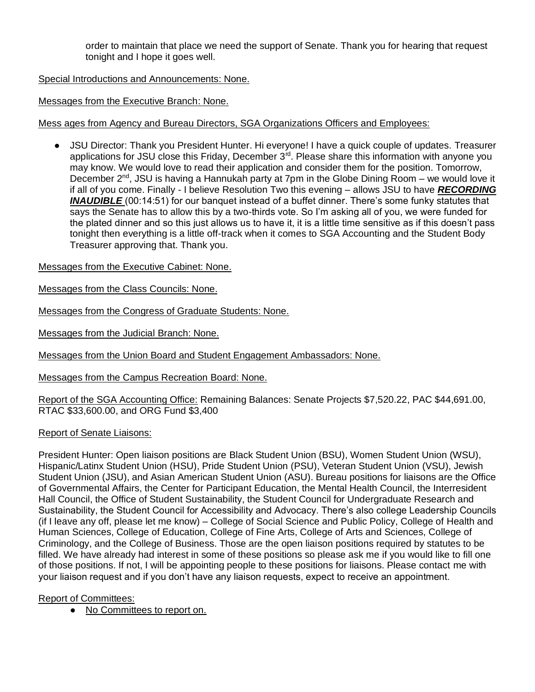order to maintain that place we need the support of Senate. Thank you for hearing that request tonight and I hope it goes well.

Special Introductions and Announcements: None.

Messages from the Executive Branch: None.

Mess ages from Agency and Bureau Directors, SGA Organizations Officers and Employees:

JSU Director: Thank you President Hunter. Hi everyone! I have a quick couple of updates. Treasurer applications for JSU close this Friday, December 3<sup>rd</sup>. Please share this information with anyone you may know. We would love to read their application and consider them for the position. Tomorrow, December 2<sup>nd</sup>, JSU is having a Hannukah party at 7pm in the Globe Dining Room – we would love it if all of you come. Finally - I believe Resolution Two this evening – allows JSU to have *RECORDING INAUDIBLE* (00:14:51) for our banquet instead of a buffet dinner. There's some funky statutes that says the Senate has to allow this by a two-thirds vote. So I'm asking all of you, we were funded for the plated dinner and so this just allows us to have it, it is a little time sensitive as if this doesn't pass tonight then everything is a little off-track when it comes to SGA Accounting and the Student Body Treasurer approving that. Thank you.

Messages from the Executive Cabinet: None.

Messages from the Class Councils: None.

Messages from the Congress of Graduate Students: None.

Messages from the Judicial Branch: None.

Messages from the Union Board and Student Engagement Ambassadors: None.

Messages from the Campus Recreation Board: None.

Report of the SGA Accounting Office: Remaining Balances: Senate Projects \$7,520.22, PAC \$44,691.00, RTAC \$33,600.00, and ORG Fund \$3,400

#### Report of Senate Liaisons:

President Hunter: Open liaison positions are Black Student Union (BSU), Women Student Union (WSU), Hispanic/Latinx Student Union (HSU), Pride Student Union (PSU), Veteran Student Union (VSU), Jewish Student Union (JSU), and Asian American Student Union (ASU). Bureau positions for liaisons are the Office of Governmental Affairs, the Center for Participant Education, the Mental Health Council, the Interresident Hall Council, the Office of Student Sustainability, the Student Council for Undergraduate Research and Sustainability, the Student Council for Accessibility and Advocacy. There's also college Leadership Councils (if I leave any off, please let me know) – College of Social Science and Public Policy, College of Health and Human Sciences, College of Education, College of Fine Arts, College of Arts and Sciences, College of Criminology, and the College of Business. Those are the open liaison positions required by statutes to be filled. We have already had interest in some of these positions so please ask me if you would like to fill one of those positions. If not, I will be appointing people to these positions for liaisons. Please contact me with your liaison request and if you don't have any liaison requests, expect to receive an appointment.

#### Report of Committees:

● No Committees to report on.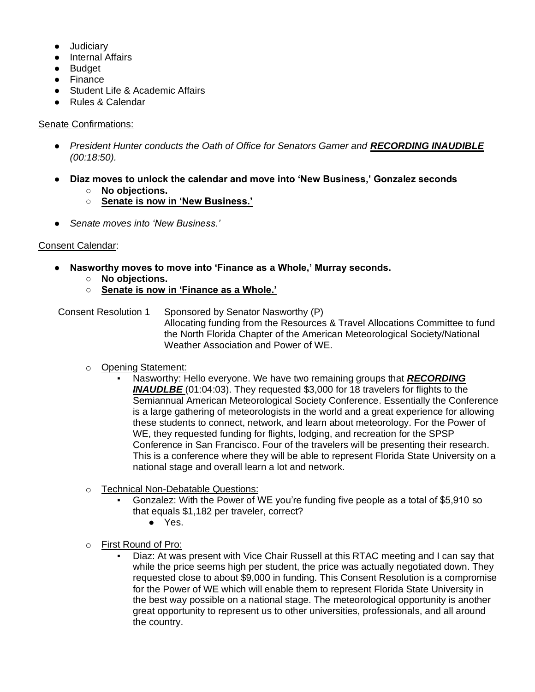- Judiciary
- Internal Affairs
- Budget
- Finance
- Student Life & Academic Affairs
- Rules & Calendar

### Senate Confirmations:

- **•** President Hunter conducts the Oath of Office for Senators Garner and **RECORDING INAUDIBLE** *(00:18:50).*
- **Diaz moves to unlock the calendar and move into 'New Business,' Gonzalez seconds** ○ **No objections.**
	- **Senate is now in 'New Business.'**
- *Senate moves into 'New Business.'*

### Consent Calendar:

- **Nasworthy moves to move into 'Finance as a Whole,' Murray seconds.**
	- **No objections.**
	- **Senate is now in 'Finance as a Whole.'**

Consent Resolution 1 Sponsored by Senator Nasworthy (P) Allocating funding from the Resources & Travel Allocations Committee to fund the North Florida Chapter of the American Meteorological Society/National Weather Association and Power of WE.

- o Opening Statement:
	- Nasworthy: Hello everyone. We have two remaining groups that *RECORDING INAUDLBE* (01:04:03). They requested \$3,000 for 18 travelers for flights to the Semiannual American Meteorological Society Conference. Essentially the Conference is a large gathering of meteorologists in the world and a great experience for allowing these students to connect, network, and learn about meteorology. For the Power of WE, they requested funding for flights, lodging, and recreation for the SPSP Conference in San Francisco. Four of the travelers will be presenting their research. This is a conference where they will be able to represent Florida State University on a national stage and overall learn a lot and network.
- o Technical Non-Debatable Questions:
	- Gonzalez: With the Power of WE you're funding five people as a total of \$5,910 so that equals \$1,182 per traveler, correct?
		- Yes.
- o First Round of Pro:
	- Diaz: At was present with Vice Chair Russell at this RTAC meeting and I can say that while the price seems high per student, the price was actually negotiated down. They requested close to about \$9,000 in funding. This Consent Resolution is a compromise for the Power of WE which will enable them to represent Florida State University in the best way possible on a national stage. The meteorological opportunity is another great opportunity to represent us to other universities, professionals, and all around the country.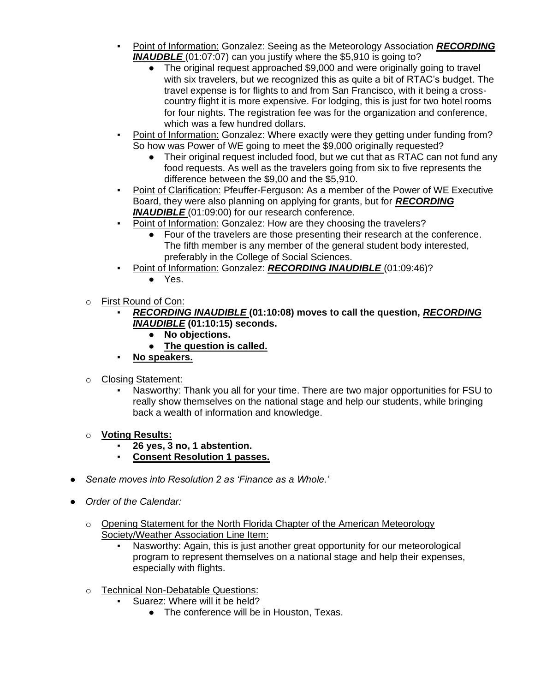- Point of Information: Gonzalez: Seeing as the Meteorology Association *RECORDING*  **INAUDBLE** (01:07:07) can you justify where the \$5,910 is going to?
	- The original request approached \$9,000 and were originally going to travel with six travelers, but we recognized this as quite a bit of RTAC's budget. The travel expense is for flights to and from San Francisco, with it being a crosscountry flight it is more expensive. For lodging, this is just for two hotel rooms for four nights. The registration fee was for the organization and conference, which was a few hundred dollars.
- Point of Information: Gonzalez: Where exactly were they getting under funding from? So how was Power of WE going to meet the \$9,000 originally requested?
	- Their original request included food, but we cut that as RTAC can not fund any food requests. As well as the travelers going from six to five represents the difference between the \$9,00 and the \$5,910.
- Point of Clarification: Pfeuffer-Ferguson: As a member of the Power of WE Executive Board, they were also planning on applying for grants, but for *RECORDING*  **INAUDIBLE** (01:09:00) for our research conference.
- Point of Information: Gonzalez: How are they choosing the travelers?
	- Four of the travelers are those presenting their research at the conference. The fifth member is any member of the general student body interested, preferably in the College of Social Sciences.
- Point of Information: Gonzalez: *RECORDING INAUDIBLE* (01:09:46)?
	- Yes.
- o First Round of Con:
	- *RECORDING INAUDIBLE* **(01:10:08) moves to call the question,** *RECORDING INAUDIBLE* **(01:10:15) seconds.**
		- **No objections.**
		- **The question is called.**
	- No speakers.
- o Closing Statement:
	- Nasworthy: Thank you all for your time. There are two major opportunities for FSU to really show themselves on the national stage and help our students, while bringing back a wealth of information and knowledge.
- o **Voting Results:**
	- **26 yes, 3 no, 1 abstention.**
	- **Consent Resolution 1 passes.**
- *Senate moves into Resolution 2 as 'Finance as a Whole.'*
- *Order of the Calendar:* 
	- o Opening Statement for the North Florida Chapter of the American Meteorology Society/Weather Association Line Item:
		- Nasworthy: Again, this is just another great opportunity for our meteorological program to represent themselves on a national stage and help their expenses, especially with flights.
	- o Technical Non-Debatable Questions:
		- Suarez: Where will it be held?
			- The conference will be in Houston, Texas.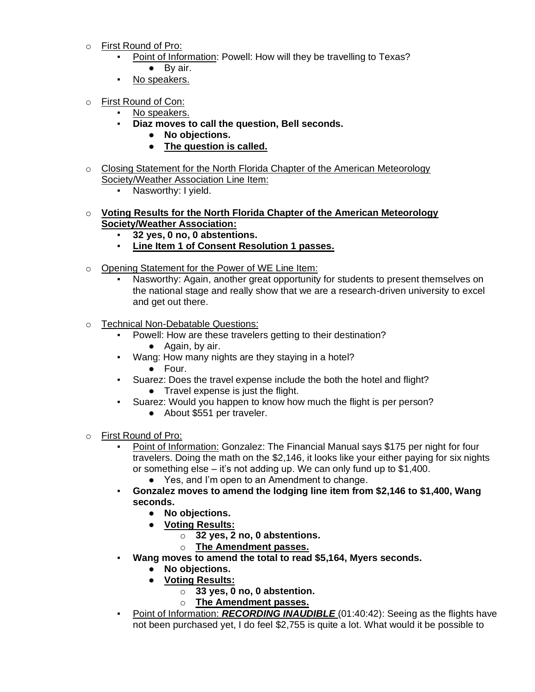- o First Round of Pro:
	- Point of Information: Powell: How will they be travelling to Texas?
	- By air.
	- No speakers.
- o First Round of Con:
	- No speakers.
	- **Diaz moves to call the question, Bell seconds.**
		- **No objections.**
		- **The question is called.**
- o Closing Statement for the North Florida Chapter of the American Meteorology Society/Weather Association Line Item:
	- Nasworthy: I yield.
- o **Voting Results for the North Florida Chapter of the American Meteorology Society/Weather Association:**
	- **32 yes, 0 no, 0 abstentions.**
	- **Line Item 1 of Consent Resolution 1 passes.**
- o Opening Statement for the Power of WE Line Item:
	- Nasworthy: Again, another great opportunity for students to present themselves on the national stage and really show that we are a research-driven university to excel and get out there.
- o Technical Non-Debatable Questions:
	- Powell: How are these travelers getting to their destination?
		- Again, by air.
	- Wang: How many nights are they staying in a hotel?
		- Four.
	- Suarez: Does the travel expense include the both the hotel and flight? ● Travel expense is just the flight.
	- Suarez: Would you happen to know how much the flight is per person?
		- About \$551 per traveler.
- o First Round of Pro:
	- Point of Information: Gonzalez: The Financial Manual says \$175 per night for four travelers. Doing the math on the \$2,146, it looks like your either paying for six nights or something else – it's not adding up. We can only fund up to \$1,400.
		- Yes, and I'm open to an Amendment to change.
	- **Gonzalez moves to amend the lodging line item from \$2,146 to \$1,400, Wang seconds.**
		- **No objections.**
		- **Voting Results:**
			- o **32 yes, 2 no, 0 abstentions.**
			- o **The Amendment passes.**
	- **Wang moves to amend the total to read \$5,164, Myers seconds.**
		- **No objections.**
		- **Voting Results:**
			- o **33 yes, 0 no, 0 abstention.**
			- o **The Amendment passes.**
	- Point of Information: *RECORDING INAUDIBLE* (01:40:42): Seeing as the flights have not been purchased yet, I do feel \$2,755 is quite a lot. What would it be possible to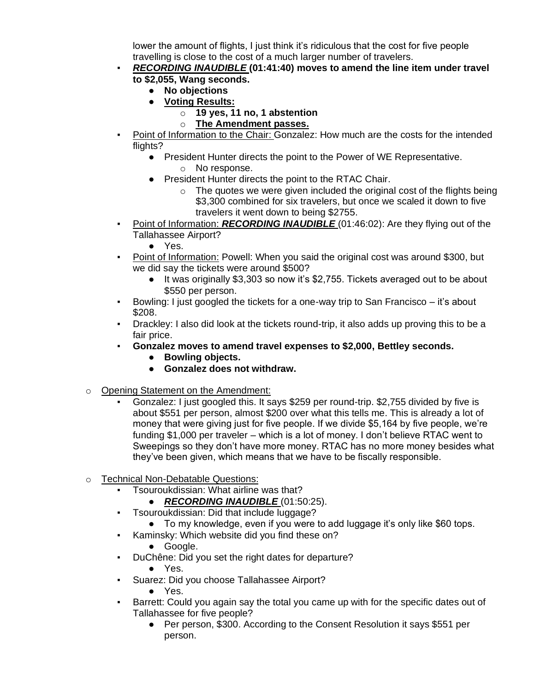lower the amount of flights, I just think it's ridiculous that the cost for five people travelling is close to the cost of a much larger number of travelers.

### ▪ *RECORDING INAUDIBLE* **(01:41:40) moves to amend the line item under travel to \$2,055, Wang seconds.**

- **No objections**
- **Voting Results:**
	- o **19 yes, 11 no, 1 abstention**
	- o **The Amendment passes.**
- Point of Information to the Chair: Gonzalez: How much are the costs for the intended flights?
	- President Hunter directs the point to the Power of WE Representative.
		- o No response.
	- President Hunter directs the point to the RTAC Chair.
		- $\circ$  The quotes we were given included the original cost of the flights being \$3,300 combined for six travelers, but once we scaled it down to five travelers it went down to being \$2755.
- **•** Point of Information: *RECORDING INAUDIBLE* (01:46:02): Are they flying out of the Tallahassee Airport?
	- Yes.
- Point of Information: Powell: When you said the original cost was around \$300, but we did say the tickets were around \$500?
	- It was originally \$3,303 so now it's \$2,755. Tickets averaged out to be about \$550 per person.
- Bowling: I just googled the tickets for a one-way trip to San Francisco it's about \$208.
- Drackley: I also did look at the tickets round-trip, it also adds up proving this to be a fair price.
- Gonzalez moves to amend travel expenses to \$2,000, Bettley seconds.
	- **Bowling objects.**
	- **Gonzalez does not withdraw.**
- o Opening Statement on the Amendment:
	- Gonzalez: I just googled this. It says \$259 per round-trip. \$2,755 divided by five is about \$551 per person, almost \$200 over what this tells me. This is already a lot of money that were giving just for five people. If we divide \$5,164 by five people, we're funding \$1,000 per traveler – which is a lot of money. I don't believe RTAC went to Sweepings so they don't have more money. RTAC has no more money besides what they've been given, which means that we have to be fiscally responsible.
- o Technical Non-Debatable Questions:
	- Tsouroukdissian: What airline was that?
		- *RECORDING INAUDIBLE* (01:50:25).
	- Tsouroukdissian: Did that include luggage?
		- To my knowledge, even if you were to add luggage it's only like \$60 tops.
	- Kaminsky: Which website did you find these on?
		- Google.
	- DuChêne: Did you set the right dates for departure?
		- Yes.
	- Suarez: Did you choose Tallahassee Airport?
		- Yes.
	- Barrett: Could you again say the total you came up with for the specific dates out of Tallahassee for five people?
		- Per person, \$300. According to the Consent Resolution it says \$551 per person.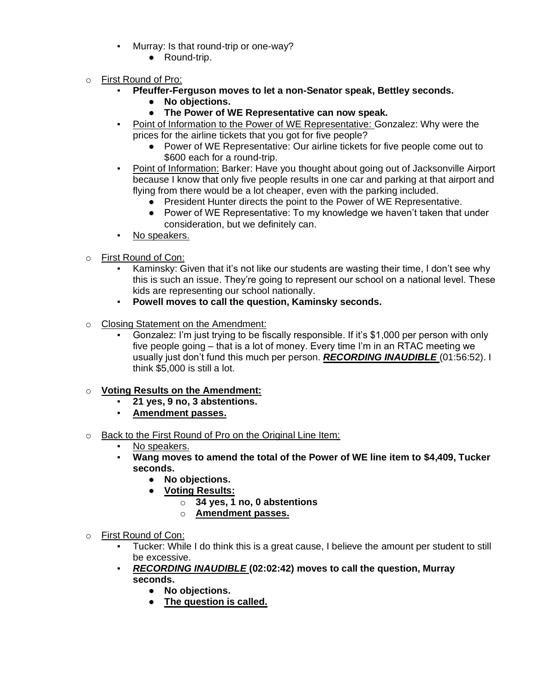- Murray: Is that round-trip or one-way?
	- Round-trip.
- o First Round of Pro:
	- **Pfeuffer-Ferguson moves to let a non-Senator speak, Bettley seconds.**
		- **No objections.**
		- **The Power of WE Representative can now speak.**
	- Point of Information to the Power of WE Representative: Gonzalez: Why were the prices for the airline tickets that you got for five people?
		- Power of WE Representative: Our airline tickets for five people come out to \$600 each for a round-trip.
	- Point of Information: Barker: Have you thought about going out of Jacksonville Airport because I know that only five people results in one car and parking at that airport and flying from there would be a lot cheaper, even with the parking included.
		- President Hunter directs the point to the Power of WE Representative.
		- Power of WE Representative: To my knowledge we haven't taken that under consideration, but we definitely can.
	- No speakers.
- o First Round of Con:
	- Kaminsky: Given that it's not like our students are wasting their time, I don't see why this is such an issue. They're going to represent our school on a national level. These kids are representing our school nationally.
	- **Powell moves to call the question, Kaminsky seconds.**
- o Closing Statement on the Amendment:
	- Gonzalez: I'm just trying to be fiscally responsible. If it's \$1,000 per person with only five people going – that is a lot of money. Every time I'm in an RTAC meeting we usually just don't fund this much per person. *RECORDING INAUDIBLE* (01:56:52). I think \$5,000 is still a lot.
- o **Voting Results on the Amendment:**
	- **21 yes, 9 no, 3 abstentions.**
	- **Amendment passes.**
- o Back to the First Round of Pro on the Original Line Item:
	- No speakers.
	- **Wang moves to amend the total of the Power of WE line item to \$4,409, Tucker seconds.**
		- **No objections.**
		- **Voting Results:**
			- o **34 yes, 1 no, 0 abstentions**
			- o **Amendment passes.**
- o First Round of Con:
	- Tucker: While I do think this is a great cause, I believe the amount per student to still be excessive.
	- *RECORDING INAUDIBLE* **(02:02:42) moves to call the question, Murray seconds.**
		- **No objections.**
		- **The question is called.**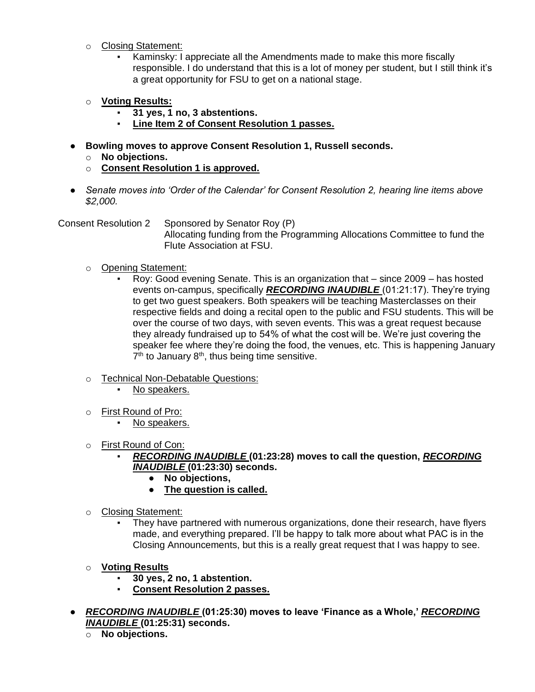- o Closing Statement:
	- Kaminsky: I appreciate all the Amendments made to make this more fiscally responsible. I do understand that this is a lot of money per student, but I still think it's a great opportunity for FSU to get on a national stage.
- o **Voting Results:**
	- **31 yes, 1 no, 3 abstentions.**
	- **Line Item 2 of Consent Resolution 1 passes.**
- **Bowling moves to approve Consent Resolution 1, Russell seconds.**
	- o **No objections.**
	- o **Consent Resolution 1 is approved.**
- *Senate moves into 'Order of the Calendar' for Consent Resolution 2, hearing line items above \$2,000.*

Consent Resolution 2 Sponsored by Senator Roy (P)

Allocating funding from the Programming Allocations Committee to fund the Flute Association at FSU.

- o Opening Statement:
	- Roy: Good evening Senate. This is an organization that since 2009 has hosted events on-campus, specifically *RECORDING INAUDIBLE* (01:21:17). They're trying to get two guest speakers. Both speakers will be teaching Masterclasses on their respective fields and doing a recital open to the public and FSU students. This will be over the course of two days, with seven events. This was a great request because they already fundraised up to 54% of what the cost will be. We're just covering the speaker fee where they're doing the food, the venues, etc. This is happening January  $7<sup>th</sup>$  to January  $8<sup>th</sup>$ , thus being time sensitive.
- o Technical Non-Debatable Questions:
	- No speakers.
- o First Round of Pro:
	- No speakers.
- o First Round of Con:
	- *RECORDING INAUDIBLE* **(01:23:28) moves to call the question,** *RECORDING INAUDIBLE* **(01:23:30) seconds.**
		- **No objections,**
		- **The question is called.**
- o Closing Statement:
	- They have partnered with numerous organizations, done their research, have flyers made, and everything prepared. I'll be happy to talk more about what PAC is in the Closing Announcements, but this is a really great request that I was happy to see.
- o **Voting Results**
	- **30 yes, 2 no, 1 abstention.**
	- **Consent Resolution 2 passes.**
- *RECORDING INAUDIBLE* **(01:25:30) moves to leave 'Finance as a Whole,'** *RECORDING INAUDIBLE* **(01:25:31) seconds.**
	- o **No objections.**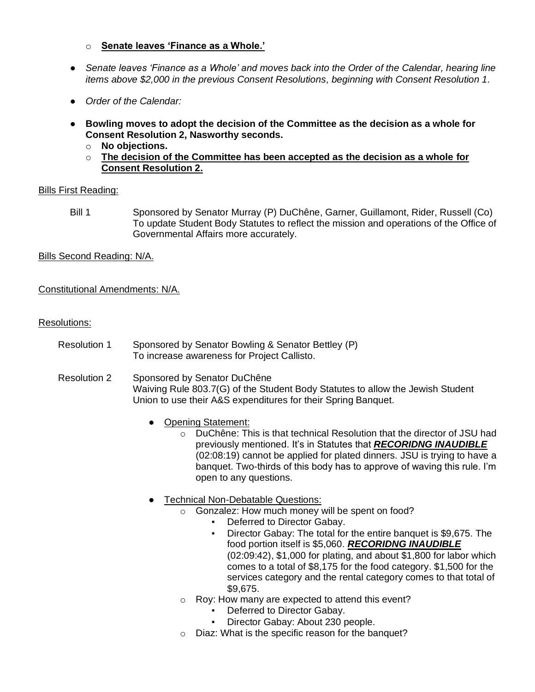- o **Senate leaves 'Finance as a Whole.'**
- *Senate leaves 'Finance as a Whole' and moves back into the Order of the Calendar, hearing line items above \$2,000 in the previous Consent Resolutions, beginning with Consent Resolution 1.*
- *Order of the Calendar:*
- **Bowling moves to adopt the decision of the Committee as the decision as a whole for Consent Resolution 2, Nasworthy seconds.**
	- o **No objections.**
	- o **The decision of the Committee has been accepted as the decision as a whole for Consent Resolution 2.**

#### Bills First Reading:

Bill 1 Sponsored by Senator Murray (P) DuChêne, Garner, Guillamont, Rider, Russell (Co) To update Student Body Statutes to reflect the mission and operations of the Office of Governmental Affairs more accurately.

Bills Second Reading: N/A.

#### Constitutional Amendments: N/A.

#### Resolutions:

- Resolution 1 Sponsored by Senator Bowling & Senator Bettley (P) To increase awareness for Project Callisto.
- Resolution 2 Sponsored by Senator DuChêne Waiving Rule 803.7(G) of the Student Body Statutes to allow the Jewish Student Union to use their A&S expenditures for their Spring Banquet.
	- Opening Statement:
		- $\circ$  DuChêne: This is that technical Resolution that the director of JSU had previously mentioned. It's in Statutes that *RECORIDNG INAUDIBLE* (02:08:19) cannot be applied for plated dinners. JSU is trying to have a banquet. Two-thirds of this body has to approve of waving this rule. I'm open to any questions.
	- **Technical Non-Debatable Questions:** 
		- o Gonzalez: How much money will be spent on food?
			- Deferred to Director Gabay.
			- Director Gabay: The total for the entire banquet is \$9,675. The food portion itself is \$5,060. *RECORIDNG INAUDIBLE* (02:09:42), \$1,000 for plating, and about \$1,800 for labor which comes to a total of \$8,175 for the food category. \$1,500 for the services category and the rental category comes to that total of \$9,675.
		- o Roy: How many are expected to attend this event?
			- Deferred to Director Gabay.
			- Director Gabay: About 230 people.
		- o Diaz: What is the specific reason for the banquet?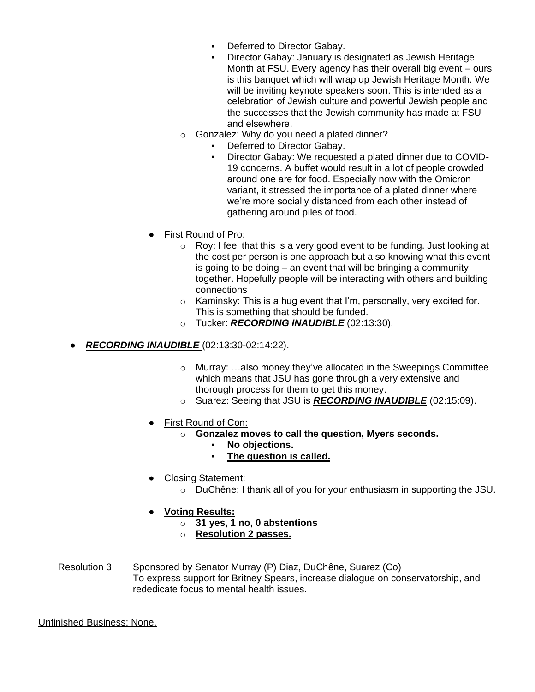- Deferred to Director Gabay.<br>■ Director Gabay: January is d
- Director Gabay: January is designated as Jewish Heritage Month at FSU. Every agency has their overall big event – ours is this banquet which will wrap up Jewish Heritage Month. We will be inviting keynote speakers soon. This is intended as a celebration of Jewish culture and powerful Jewish people and the successes that the Jewish community has made at FSU and elsewhere.
- o Gonzalez: Why do you need a plated dinner?
	- Deferred to Director Gabay.
	- Director Gabay: We requested a plated dinner due to COVID-19 concerns. A buffet would result in a lot of people crowded around one are for food. Especially now with the Omicron variant, it stressed the importance of a plated dinner where we're more socially distanced from each other instead of gathering around piles of food.
- First Round of Pro:
	- o Roy: I feel that this is a very good event to be funding. Just looking at the cost per person is one approach but also knowing what this event is going to be doing  $-$  an event that will be bringing a community together. Hopefully people will be interacting with others and building connections
	- $\circ$  Kaminsky: This is a hug event that I'm, personally, very excited for. This is something that should be funded.
	- o Tucker: *RECORDING INAUDIBLE* (02:13:30).
- *RECORDING INAUDIBLE* (02:13:30-02:14:22).
	- $\circ$  Murray: ...also money they've allocated in the Sweepings Committee which means that JSU has gone through a very extensive and thorough process for them to get this money.
	- o Suarez: Seeing that JSU is *RECORDING INAUDIBLE* (02:15:09).
	- First Round of Con:
		- o **Gonzalez moves to call the question, Myers seconds.**
			- **No objections.**
			- **The question is called.**
	- Closing Statement:
		- o DuChêne: I thank all of you for your enthusiasm in supporting the JSU.
	- **Voting Results:**
		- o **31 yes, 1 no, 0 abstentions**
		- o **Resolution 2 passes.**
- Resolution 3 Sponsored by Senator Murray (P) Diaz, DuChêne, Suarez (Co) To express support for Britney Spears, increase dialogue on conservatorship, and rededicate focus to mental health issues.

Unfinished Business: None.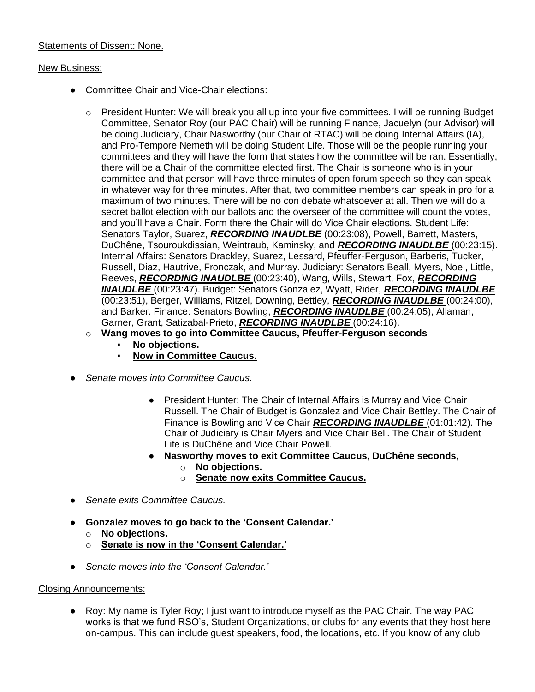# Statements of Dissent: None.

### New Business:

- Committee Chair and Vice-Chair elections:
	- $\circ$  President Hunter: We will break you all up into your five committees. I will be running Budget Committee, Senator Roy (our PAC Chair) will be running Finance, Jacuelyn (our Advisor) will be doing Judiciary, Chair Nasworthy (our Chair of RTAC) will be doing Internal Affairs (IA), and Pro-Tempore Nemeth will be doing Student Life. Those will be the people running your committees and they will have the form that states how the committee will be ran. Essentially, there will be a Chair of the committee elected first. The Chair is someone who is in your committee and that person will have three minutes of open forum speech so they can speak in whatever way for three minutes. After that, two committee members can speak in pro for a maximum of two minutes. There will be no con debate whatsoever at all. Then we will do a secret ballot election with our ballots and the overseer of the committee will count the votes, and you'll have a Chair. Form there the Chair will do Vice Chair elections. Student Life: Senators Taylor, Suarez, *RECORDING INAUDLBE* (00:23:08), Powell, Barrett, Masters, DuChêne, Tsouroukdissian, Weintraub, Kaminsky, and *RECORDING INAUDLBE* (00:23:15). Internal Affairs: Senators Drackley, Suarez, Lessard, Pfeuffer-Ferguson, Barberis, Tucker, Russell, Diaz, Hautrive, Fronczak, and Murray. Judiciary: Senators Beall, Myers, Noel, Little, Reeves, *RECORDING INAUDLBE* (00:23:40), Wang, Wills, Stewart, Fox, *RECORDING INAUDLBE* (00:23:47). Budget: Senators Gonzalez, Wyatt, Rider, *RECORDING INAUDLBE*  (00:23:51), Berger, Williams, Ritzel, Downing, Bettley, *RECORDING INAUDLBE* (00:24:00), and Barker. Finance: Senators Bowling, *RECORDING INAUDLBE* (00:24:05), Allaman, Garner, Grant, Satizabal-Prieto, *RECORDING INAUDLBE* (00:24:16).
	- o **Wang moves to go into Committee Caucus, Pfeuffer-Ferguson seconds**
		- **No objections.**
		- **Now in Committee Caucus.**
- *Senate moves into Committee Caucus.*
	- President Hunter: The Chair of Internal Affairs is Murray and Vice Chair Russell. The Chair of Budget is Gonzalez and Vice Chair Bettley. The Chair of Finance is Bowling and Vice Chair *RECORDING INAUDLBE* (01:01:42). The Chair of Judiciary is Chair Myers and Vice Chair Bell. The Chair of Student Life is DuChêne and Vice Chair Powell.
	- **Nasworthy moves to exit Committee Caucus, DuChêne seconds,**
		- o **No objections.**
		- o **Senate now exits Committee Caucus.**
- *Senate exits Committee Caucus.*
- **Gonzalez moves to go back to the 'Consent Calendar.'**
	- o **No objections.**
	- o **Senate is now in the 'Consent Calendar.'**
- *Senate moves into the 'Consent Calendar.'*

# Closing Announcements:

● Roy: My name is Tyler Roy; I just want to introduce myself as the PAC Chair. The way PAC works is that we fund RSO's, Student Organizations, or clubs for any events that they host here on-campus. This can include guest speakers, food, the locations, etc. If you know of any club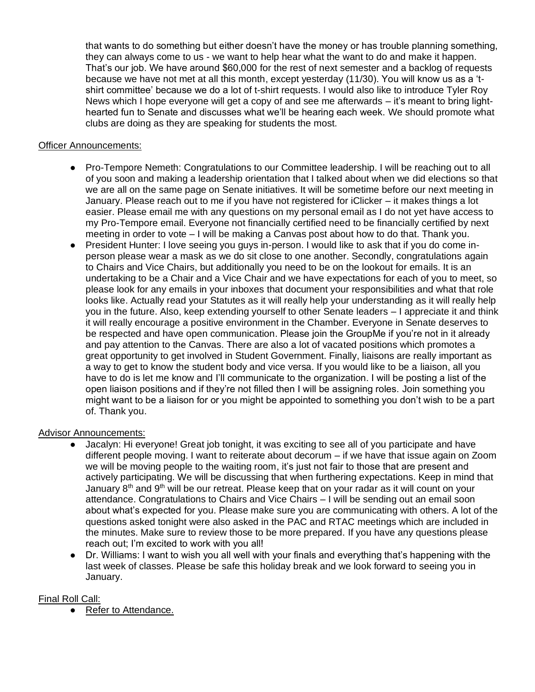that wants to do something but either doesn't have the money or has trouble planning something, they can always come to us - we want to help hear what the want to do and make it happen. That's our job. We have around \$60,000 for the rest of next semester and a backlog of requests because we have not met at all this month, except yesterday (11/30). You will know us as a 'tshirt committee' because we do a lot of t-shirt requests. I would also like to introduce Tyler Roy News which I hope everyone will get a copy of and see me afterwards – it's meant to bring lighthearted fun to Senate and discusses what we'll be hearing each week. We should promote what clubs are doing as they are speaking for students the most.

### Officer Announcements:

- Pro-Tempore Nemeth: Congratulations to our Committee leadership. I will be reaching out to all of you soon and making a leadership orientation that I talked about when we did elections so that we are all on the same page on Senate initiatives. It will be sometime before our next meeting in January. Please reach out to me if you have not registered for iClicker – it makes things a lot easier. Please email me with any questions on my personal email as I do not yet have access to my Pro-Tempore email. Everyone not financially certified need to be financially certified by next meeting in order to vote – I will be making a Canvas post about how to do that. Thank you.
- President Hunter: I love seeing you guys in-person. I would like to ask that if you do come inperson please wear a mask as we do sit close to one another. Secondly, congratulations again to Chairs and Vice Chairs, but additionally you need to be on the lookout for emails. It is an undertaking to be a Chair and a Vice Chair and we have expectations for each of you to meet, so please look for any emails in your inboxes that document your responsibilities and what that role looks like. Actually read your Statutes as it will really help your understanding as it will really help you in the future. Also, keep extending yourself to other Senate leaders – I appreciate it and think it will really encourage a positive environment in the Chamber. Everyone in Senate deserves to be respected and have open communication. Please join the GroupMe if you're not in it already and pay attention to the Canvas. There are also a lot of vacated positions which promotes a great opportunity to get involved in Student Government. Finally, liaisons are really important as a way to get to know the student body and vice versa. If you would like to be a liaison, all you have to do is let me know and I'll communicate to the organization. I will be posting a list of the open liaison positions and if they're not filled then I will be assigning roles. Join something you might want to be a liaison for or you might be appointed to something you don't wish to be a part of. Thank you.

#### Advisor Announcements:

- Jacalyn: Hi everyone! Great job tonight, it was exciting to see all of you participate and have different people moving. I want to reiterate about decorum – if we have that issue again on Zoom we will be moving people to the waiting room, it's just not fair to those that are present and actively participating. We will be discussing that when furthering expectations. Keep in mind that January  $8<sup>th</sup>$  and  $9<sup>th</sup>$  will be our retreat. Please keep that on your radar as it will count on your attendance. Congratulations to Chairs and Vice Chairs – I will be sending out an email soon about what's expected for you. Please make sure you are communicating with others. A lot of the questions asked tonight were also asked in the PAC and RTAC meetings which are included in the minutes. Make sure to review those to be more prepared. If you have any questions please reach out; I'm excited to work with you all!
- Dr. Williams: I want to wish you all well with your finals and everything that's happening with the last week of classes. Please be safe this holiday break and we look forward to seeing you in January.

#### Final Roll Call:

● Refer to Attendance.